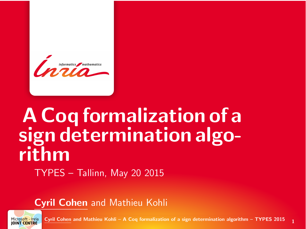<span id="page-0-0"></span>

# A Coq formalization of a sign determination algorithm TYPES – Tallinn, May 20 2015

Cyril Cohen and Mathieu Kohli



Cyril Cohen and Mathieu Kohli – [A Coq formalization of a sign determination algorithm](#page-18-0) – TYPES 2015  $1$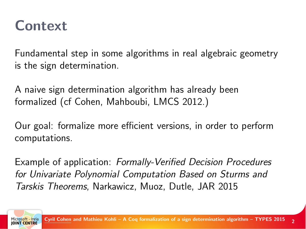#### **Context**

Fundamental step in some algorithms in real algebraic geometry is the sign determination.

A naive sign determination algorithm has already been formalized (cf Cohen, Mahboubi, LMCS 2012.)

Our goal: formalize more efficient versions, in order to perform computations.

Example of application: Formally-Verified Decision Procedures for Univariate Polynomial Computation Based on Sturms and Tarskis Theorems, Narkawicz, Muoz, Dutle, JAR 2015

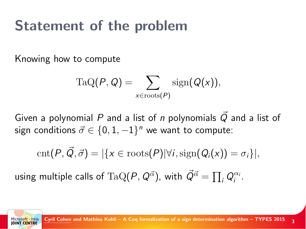#### Statement of the problem

Knowing how to compute

$$
\mathrm{TaQ}(P,Q) = \sum_{x \in \mathrm{roots}(P)} \mathrm{sign}(Q(x)),
$$

Given a polynomial P and a list of n polynomials  $\vec{Q}$  and a list of sign conditions  $\vec{\sigma} \in \{0,1,-1\}^n$  we want to compute:

$$
cnt(P, \vec{Q}, \vec{\sigma}) = |\{x \in roots(P)| \forall i, sign(Q_i(x)) = \sigma_i\}|,
$$

using multiple calls of  $\text{TaQ}(P,Q^{\vec{\alpha}})$ , with  $\vec{Q}^{\vec{\alpha}} = \prod_i Q_i^{\alpha_i}.$ 

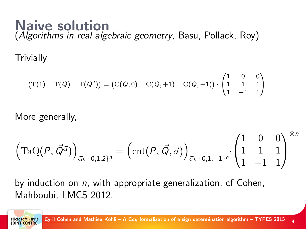#### Naive solution (Algorithms in real algebraic geometry, Basu, Pollack, Roy)

**Trivially** 

$$
(\mathrm{T}(1) \quad \mathrm{T}(Q) \quad \mathrm{T}(Q^2)) = (\mathrm{C}(Q,0) \quad \mathrm{C}(Q,+1) \quad \mathrm{C}(Q,-1)) \cdot \begin{pmatrix} 1 & 0 & 0 \\ 1 & 1 & 1 \\ 1 & -1 & 1 \end{pmatrix}.
$$

More generally,

$$
\left(\mathrm{TaQ}(P, \vec{Q}^{\vec{\alpha}})\right)_{\vec{\alpha} \in \{0,1,2\}^n} = \left(\mathrm{cnt}(P, \vec{Q}, \vec{\sigma})\right)_{\vec{\sigma} \in \{0,1,-1\}^n} \cdot \begin{pmatrix} 1 & 0 & 0 \\ 1 & 1 & 1 \\ 1 & -1 & 1 \end{pmatrix}^{\otimes n}
$$

by induction on  $n$ , with appropriate generalization, cf Cohen, Mahboubi, LMCS 2012.

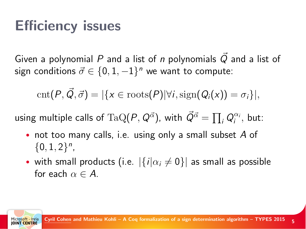### Efficiency issues

Given a polynomial P and a list of n polynomials  $\vec{Q}$  and a list of sign conditions  $\vec{\sigma} \in \{0,1,-1\}^n$  we want to compute:

$$
cnt(P, \vec{Q}, \vec{\sigma}) = |\{x \in roots(P)| \forall i, sign(Q_i(x)) = \sigma_i\}|,
$$

using multiple calls of  ${\rm TaQ}(P,Q^{\vec{\alpha}})$ , with  $\vec{Q}^{\vec{\alpha}} = \prod_i Q_i^{\alpha_i},$  but:

- not too many calls, i.e. using only a small subset A of  ${0, 1, 2}^n$
- with small products (i.e.  $|\{i|\alpha_i \neq 0\}|$  as small as possible for each  $\alpha \in A$ .

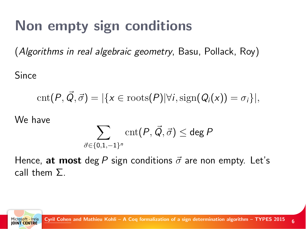### Non empty sign conditions

(Algorithms in real algebraic geometry, Basu, Pollack, Roy)

Since

$$
\mathrm{cnt}(P, \vec{Q}, \vec{\sigma}) = |\{x \in \mathrm{roots}(P)| \forall i, \mathrm{sign}(Q_i(x)) = \sigma_i\}|,
$$

We have

$$
\sum_{\vec{\sigma} \in \{0,1,-1\}^n} \operatorname{cnt}(P, \vec{Q}, \vec{\sigma}) \le \deg P
$$

Hence, at most deg P sign conditions  $\vec{\sigma}$  are non empty. Let's call them Σ.

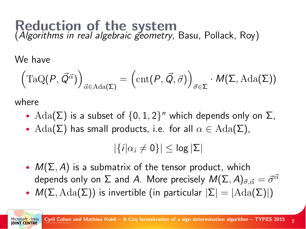# Reduction of the system<br>(Algorithms in real algebraic geometry, Basu, Pollack, Roy)

We have

$$
\left(\mathrm{TaQ}(P, \vec{Q}^{\vec{\alpha}})\right)_{\vec{\alpha} \in \mathrm{Ada}(\Sigma)} = \left(\mathrm{cnt}(P, \vec{Q}, \vec{\sigma})\right)_{\vec{\sigma} \in \Sigma} \cdot M(\Sigma, \mathrm{Ada}(\Sigma))
$$

where

- $\text{Ada}(\Sigma)$  is a subset of  $\{0, 1, 2\}$ <sup>n</sup> which depends only on  $\Sigma$ ,
- $\text{Ada}(\Sigma)$  has small products, i.e. for all  $\alpha \in \text{Ada}(\Sigma)$ .

 $|\{i|\alpha_i \neq 0\}| < \log |\Sigma|$ 

- $M(\Sigma, A)$  is a submatrix of the tensor product, which depends only on  $\Sigma$  and A. More precisely  $M(\Sigma, A)_{\vec{\sigma} \cdot \vec{\sigma}} = \vec{\sigma}^{\vec{\alpha}}$
- $M(\Sigma, \text{Ada}(\Sigma))$  is invertible (in particular  $|\Sigma| = |\text{Ada}(\Sigma)|$ )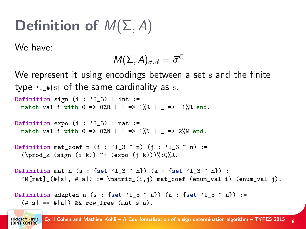# Definition of  $M(\Sigma, A)$

We have:

Microsoft - Inria **IOINT CENTRE** 

$$
M(\Sigma,A)_{\vec\sigma,\vec\alpha}=\vec\sigma^{\vec\alpha}
$$

We represent it using encodings between a set s and the finite type  $Y_{1}$  =  $|S|$  of the same cardinality as s. Definition sign  $(i : 'I_3)$  : int := match val i with  $0 \Rightarrow 0\%R$  | 1 => 1%R | => -1%R end. Definition expo  $(i : 'I_3)$  : nat := match val i with  $0 \Rightarrow 0$ %N | 1 => 1%N | => 2%N end. Definition mat\_coef n (i :  $'I_3 \nightharpoonup n$ ) (j :  $'I_3 \nightharpoonup n$ ) :=  $(\prod k (sign (i k)) ^+ (expo (j k)))$ . Definition mat n (s : {set 'I 3 ^ n}) (a : {set 'I 3 ^ n}) :  $M[\text{rat}]_{\{||s||, ||h||} := \mathrm{atri}_{\} \mathtt{mod} \mathtt{if}$ . Definition adapted n (s : {set 'I\_3 ^ n}) (a : {set 'I\_3 ^ n}) :=  $(\#|s| == #|a|)$  && row\_free (mat s a).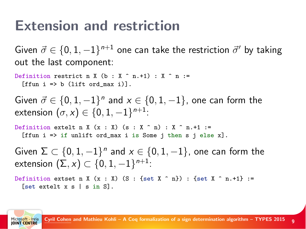### Extension and restriction

Given  $\vec{\sigma} \in \{0,1,-1\}^{n+1}$  one can take the restriction  $\vec{\sigma}'$  by taking out the last component:

Definition restrict n X (b : X  $^{\circ}$  n.+1) : X  $^{\circ}$  n :=  $[$ ffun i => b  $($ lift ord max i $)$ ].

Given  $\vec{\sigma} \in \{0, 1, -1\}^n$  and  $x \in \{0, 1, -1\}$ , one can form the extension  $(\sigma,x)\in\{0,1,-1\}^{n+1}$ :

Definition extelt n X  $(x : X)$   $(s : X \cap n) : X \cap n.+1 :=$ [ffun i => if unlift ord\_max i is Some j then s j else x].

Given  $\Sigma \subset \{0, 1, -1\}^n$  and  $x \in \{0, 1, -1\}$ , one can form the extension  $(\Sigma, x) \subset \{0, 1, -1\}^{n+1}$ :

Definition extset n X  $(x : X)$  (S : {set X ^ n}) : {set X ^ n.+1} := [set extelt x s | s in S].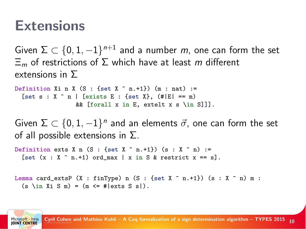#### **Extensions**

Given  $\Sigma\subset\{0,1,-1\}^{n+1}$  and a number  $m$ , one can form the set  $\Xi_m$  of restrictions of  $\Sigma$  which have at least m different extensions in Σ

```
Definition Xi n X (S : {set X \hat{ } n.+1}) (m : nat) :=
 [set s : X \cap I | [exists E : {set X}, (#|E| == m)
                 && [forall x in E, extelt x s \in S]]].
```
Given  $\Sigma \subset \{0,1,-1\}^n$  and an elements  $\vec{\sigma}$ , one can form the set of all possible extensions in  $\Sigma$ .

```
Definition exts X n (S : {set X \hat{ } n.+1}) (s : X \hat{ } n) :=
 [set (x : X \cap n,+1) ord max | x in S & restrict x == s].
```

```
Lemma card_extsP (X : finType) n (S : {set X ^ n.+1}) (s : X ^ n) m :
 (s \in X \text{ is } S \text{ m}) = (m \leq 2) # | exts S s| ).
```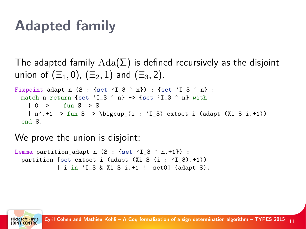#### Adapted family

The adapted family  $\text{Ada}(\Sigma)$  is defined recursively as the disjoint union of  $(\Xi_1, 0)$ ,  $(\Xi_2, 1)$  and  $(\Xi_3, 2)$ . Fixpoint adapt n  $(S : {set 'I_3 \cap n}) : {set 'I_3 \cap n}$  := match n return {set 'I\_3 ^ n} -> {set 'I\_3 ^ n} with  $| 0 \Rightarrow$  fun  $S \Rightarrow S$  $| n'.+1 => fun S => \bigcup_{i : 'I_3} \text{.} \text{ (adapt (Xi S i.+1))}$ end S.

We prove the union is disjoint:

```
Lemma partition_adapt n (S : {set 'I_3 \cap n.+1}) :
partition [set extset i (adapt (Xi S (i : 'I_3).+1))
           | i in 'I_3 & Xi S i.+1 != set0] (adapt S).
```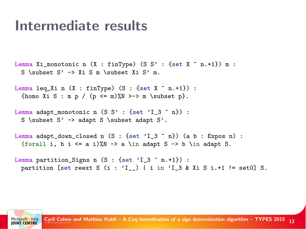#### Intermediate results

```
Lemma Xi_monotonic n (X : finType) (S S' : {set X \hat{ } n.+1}) m :
S \subset S' -> Xi S m \subset Xi S' m.
```

```
Lemma leq_Xi n (X : finType) (S : {set X ^ n . + 1}) :
{homo Xi S : m p / (p <= m)%N >-> m \subset p}.
```

```
Lemma adapt_monotonic n (S S' : {set 'I_3 \cap n}) :
S \subset S' -> adapt S \subset adapt S'.
```

```
Lemma adapt_down_closed n (S : {set 'I_3 \cap n}) (a b : Expos n) :
 (forall i, b i \leq a i)%N -> a \in adapt S -> b \in adapt S.
```

```
Lemma partition_Signs n (S : {set 'I_3 \cap n.+1}) :
partition [set reext S (i : 'I_) | i in 'I_3 & Xi S i.+1 != set0] S.
```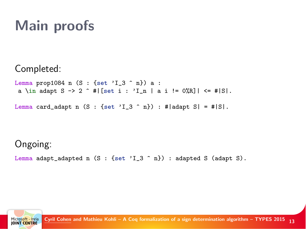## Main proofs

#### Completed:

Lemma prop1084 n  $(S : {set 'I_3 \cap n}) a :$ a \in adapt S -> 2 ^ #|[set i : 'I\_n | a i != 0%R]| <= #|S|.

Lemma card\_adapt n  $(S : {set 'I_3 \cap n}) : #|$ adapt  $S| = #|S|.$ 

#### Ongoing:

Lemma adapt\_adapted n (S : {set 'I\_3 ^ n}) : adapted S (adapt S).

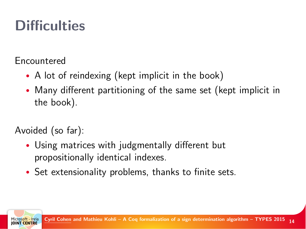## **Difficulties**

Encountered

- A lot of reindexing (kept implicit in the book)
- Many different partitioning of the same set (kept implicit in the book).

Avoided (so far):

- Using matrices with judgmentally different but propositionally identical indexes.
- Set extensionality problems, thanks to finite sets.

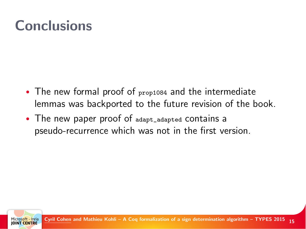### Conclusions

- The new formal proof of prop1084 and the intermediate lemmas was backported to the future revision of the book.
- The new paper proof of adapt\_adapted contains a pseudo-recurrence which was not in the first version.

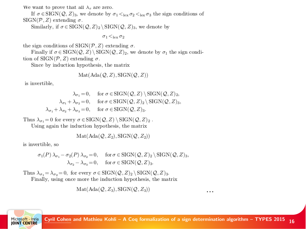We want to prove that all  $\lambda_{\tau}$  are zero.

If  $\sigma \in \text{SIGN}(\mathcal{Q}, Z)_3$ , we denote by  $\sigma_1 <_{\text{lex}} \sigma_2 <_{\text{lex}} \sigma_3$  the sign conditions of  $SIGN(\mathcal{P}, Z)$  extending  $\sigma$ .

Similarly, if  $\sigma \in \text{SIGN}(\mathcal{Q}, Z)_2 \backslash \text{SIGN}(\mathcal{Q}, Z)_3$ , we denote by

 $\sigma_1$   $\leq_{\text{lev}}$   $\sigma_2$ 

the sign conditions of  $SIGN(\mathcal{P}, Z)$  extending  $\sigma$ .

Finally if  $\sigma \in \text{SIGN}(\mathcal{Q}, Z) \setminus \text{SIGN}(\mathcal{Q}, Z)$ , we denote by  $\sigma_1$  the sign condition of SIGN( $P, Z$ ) extending  $\sigma$ .

Since by induction hypothesis, the matrix

$$
Mat(Ada(Q, Z), SIGN(Q, Z))
$$

is invertible.

 $\lambda_{\sigma} = 0$ , for  $\sigma \in \text{SIGN}(\mathcal{Q}, Z) \setminus \text{SIGN}(\mathcal{Q}, Z)_2$ ,  $\lambda_{\sigma_1} + \lambda_{\sigma_2} = 0$ , for  $\sigma \in \text{SIGN}(\mathcal{Q}, Z)_2 \setminus \text{SIGN}(\mathcal{Q}, Z)_3$ ,  $\lambda_{\sigma_1} + \lambda_{\sigma_2} + \lambda_{\sigma_3} = 0$ , for  $\sigma \in \text{SIGN}(\mathcal{Q}, Z)_3$ .

Thus  $\lambda_{\sigma_1} = 0$  for every  $\sigma \in \text{SIGN}(\mathcal{Q}, Z) \setminus \text{SIGN}(\mathcal{Q}, Z)_2$ .

Using again the induction hypothesis, the matrix

$$
Mat(Ada(Q, Z_2), SIGN(Q, Z_2))
$$

is invertible, so

$$
\begin{aligned} &\sigma_1(P)\,\lambda_{\sigma_1}-\sigma_2(P)\,\lambda_{\sigma_2}\!=\!0, \quad \text{for } \sigma \in \text{SIGN}(\mathcal{Q}, Z)_2 \setminus \text{SIGN}(\mathcal{Q}, Z)_3, \\ &\lambda_{\sigma_2}-\lambda_{\sigma_3}\!=\!0, \quad \text{for } \sigma \in \text{SIGN}(\mathcal{Q}, Z)_3. \end{aligned}
$$

Thus  $\lambda_{\sigma_1} = \lambda_{\sigma_2} = 0$ , for every  $\sigma \in \text{SIGN}(\mathcal{Q}, Z)_2 \backslash \text{SIGN}(\mathcal{Q}, Z)_3$ .

Finally, using once more the induction hypothesis, the matrix

$$
Mat(Ada(Q, Z_3), SIGN(Q, Z_3))
$$

...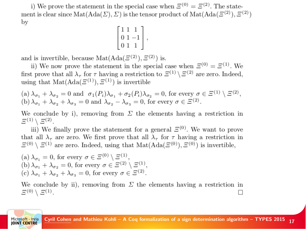i) We prove the statement in the special case when  $\mathcal{Z}^{(0)} = \mathcal{Z}^{(2)}$ . The statement is clear since  $\text{Mat}(\text{Ada}(\Sigma), \Sigma)$  is the tensor product of  $\text{Mat}(\text{Ada}(\Xi^{(2)}), \Xi^{(2)})$ bv

$$
\begin{bmatrix} 1 & 1 & 1 \\ 0 & 1 & -1 \\ 0 & 1 & 1 \end{bmatrix},
$$

and is invertible, because  $\text{Mat}(\text{Ada}(\mathcal{Z}^{(2)}), \mathcal{Z}^{(2)})$  is.

ii) We now prove the statement in the special case when  $\mathcal{E}^{(0)} = \mathcal{E}^{(1)}$ . We first prove that all  $\lambda_{\tau}$  for  $\tau$  having a restriction to  $\mathcal{Z}^{(1)} \setminus \mathcal{Z}^{(2)}$  are zero. Indeed, using that  $Mat(Ada(\mathcal{Z}^{(1)}), \mathcal{Z}^{(1)})$  is invertible

(a)  $\lambda_{\sigma_1} + \lambda_{\sigma_2} = 0$  and  $\sigma_1(P_i)\lambda_{\sigma_1} + \sigma_2(P_i)\lambda_{\sigma_2} = 0$ , for every  $\sigma \in \Xi^{(1)} \setminus \Xi^{(2)}$ , (b)  $\lambda_{\sigma_1} + \lambda_{\sigma_2} + \lambda_{\sigma_3} = 0$  and  $\lambda_{\sigma_2} - \lambda_{\sigma_3} = 0$ , for every  $\sigma \in \Xi^{(2)}$ .

We conclude by i), removing from  $\Sigma$  the elements having a restriction in  $E^{(1)} \setminus E^{(2)}$ .

iii) We finally prove the statement for a general  $\mathcal{Z}^{(0)}$ . We want to prove that all  $\lambda_{\tau}$  are zero. We first prove that all  $\lambda_{\tau}$  for  $\tau$  having a restriction in  $\Xi^{(0)} \setminus \Xi^{(1)}$  are zero. Indeed, using that  $\text{Mat}(\text{Ada}(\Xi^{(0)}), \Xi^{(0)})$  is invertible,

(a)  $\lambda_{\sigma_1} = 0$ , for every  $\sigma \in \Xi^{(0)} \setminus \Xi^{(1)}$ , (b)  $\lambda_{\sigma_1} + \lambda_{\sigma_2} = 0$ , for every  $\sigma \in \Xi^{(2)} \setminus \Xi^{(1)}$ , (c)  $\lambda_{\sigma_1} + \lambda_{\sigma_2} + \lambda_{\sigma_3} = 0$ , for every  $\sigma \in \Xi^{(2)}$ .

soft - Inria **IOINT CENTRE** 

We conclude by ii), removing from  $\Sigma$  the elements having a restriction in  $\Xi^{(0)}\setminus \Xi^{(1)}$ .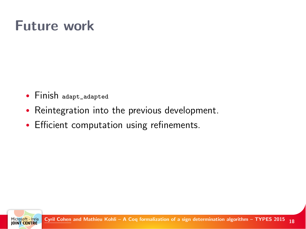### Future work

- Finish adapt\_adapted
- Reintegration into the previous development.
- Efficient computation using refinements.